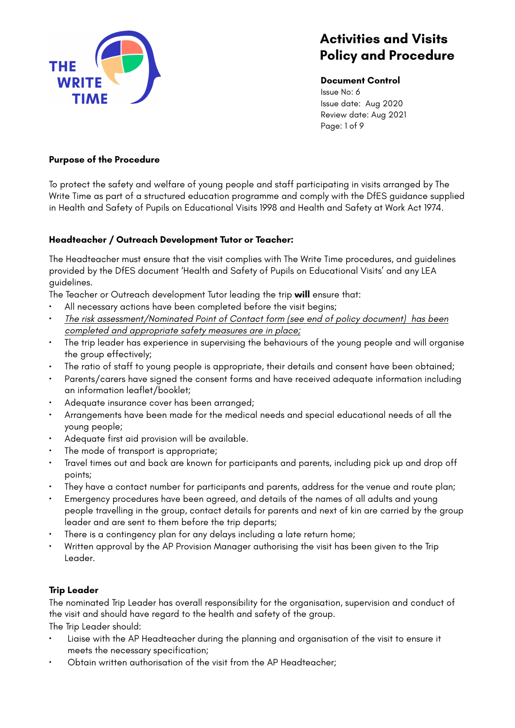

**Document Control** Issue No: 6 Issue date: Aug 2020 Review date: Aug 2021 Page: 1 of 9

### **Purpose of the Procedure**

To protect the safety and welfare of young people and staff participating in visits arranged by The Write Time as part of a structured education programme and comply with the DfES guidance supplied in Health and Safety of Pupils on Educational Visits 1998 and Health and Safety at Work Act 1974.

### **Headteacher / Outreach Development Tutor or Teacher:**

The Headteacher must ensure that the visit complies with The Write Time procedures, and guidelines provided by the DfES document 'Health and Safety of Pupils on Educational Visits' and any LEA guidelines.

The Teacher or Outreach development Tutor leading the trip **will** ensure that:

- All necessary actions have been completed before the visit begins;
- *The risk assessment/Nominated Point of Contact form (see end of policy document) has been completed and appropriate safety measures are in place;*
- The trip leader has experience in supervising the behaviours of the young people and will organise the group effectively;
- The ratio of staff to young people is appropriate, their details and consent have been obtained;
- Parents/carers have signed the consent forms and have received adequate information including an information leaflet/booklet;
- Adequate insurance cover has been arranged;
- Arrangements have been made for the medical needs and special educational needs of all the young people;
- Adequate first aid provision will be available.
- The mode of transport is appropriate;
- Travel times out and back are known for participants and parents, including pick up and drop off points;
- They have a contact number for participants and parents, address for the venue and route plan;
- Emergency procedures have been agreed, and details of the names of all adults and young people travelling in the group, contact details for parents and next of kin are carried by the group leader and are sent to them before the trip departs;
- There is a contingency plan for any delays including a late return home;
- Written approval by the AP Provision Manager authorising the visit has been given to the Trip Leader.

## **Trip Leader**

The nominated Trip Leader has overall responsibility for the organisation, supervision and conduct of the visit and should have regard to the health and safety of the group.

The Trip Leader should:

- Liaise with the AP Headteacher during the planning and organisation of the visit to ensure it meets the necessary specification;
- Obtain written authorisation of the visit from the AP Headteacher;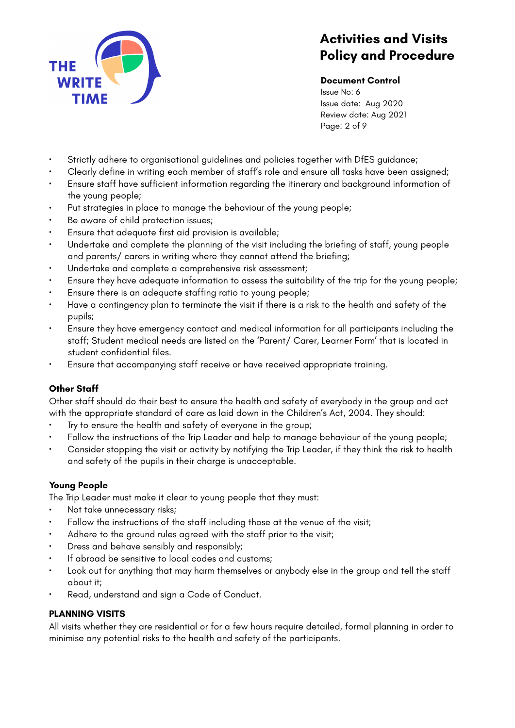

### **Document Control**

Issue No: 6 Issue date: Aug 2020 Review date: Aug 2021 Page: 2 of 9

- Strictly adhere to organisational guidelines and policies together with DfES guidance;
- Clearly define in writing each member of staff's role and ensure all tasks have been assigned;
- Ensure staff have sufficient information regarding the itinerary and background information of the young people;
- Put strategies in place to manage the behaviour of the young people;
- Be aware of child protection issues;
- Ensure that adequate first aid provision is available;
- Undertake and complete the planning of the visit including the briefing of staff, young people and parents/ carers in writing where they cannot attend the briefing;
- Undertake and complete a comprehensive risk assessment;
- Ensure they have adequate information to assess the suitability of the trip for the young people;
- Ensure there is an adequate staffing ratio to young people;
- Have a contingency plan to terminate the visit if there is a risk to the health and safety of the pupils;
- Ensure they have emergency contact and medical information for all participants including the staff; Student medical needs are listed on the 'Parent/ Carer, Learner Form' that is located in student confidential files.
- Ensure that accompanying staff receive or have received appropriate training.

## **Other Staff**

Other staff should do their best to ensure the health and safety of everybody in the group and act with the appropriate standard of care as laid down in the Children's Act, 2004. They should:

- Try to ensure the health and safety of everyone in the group;
- Follow the instructions of the Trip Leader and help to manage behaviour of the young people;
- Consider stopping the visit or activity by notifying the Trip Leader, if they think the risk to health and safety of the pupils in their charge is unacceptable.

## **Young People**

The Trip Leader must make it clear to young people that they must:

- Not take unnecessary risks;
- Follow the instructions of the staff including those at the venue of the visit;
- Adhere to the ground rules agreed with the staff prior to the visit;
- Dress and behave sensibly and responsibly;
- If abroad be sensitive to local codes and customs;
- Look out for anything that may harm themselves or anybody else in the group and tell the staff about it;
- Read, understand and sign a Code of Conduct.

#### **PLANNING VISITS**

All visits whether they are residential or for a few hours require detailed, formal planning in order to minimise any potential risks to the health and safety of the participants.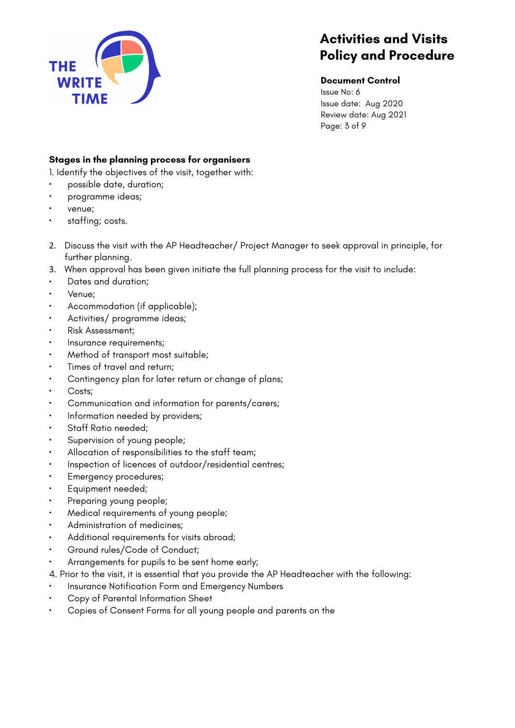

### **Document Control**

Issue No: 6 Issue date: Aug 2020 Review date: Aug 2021 Page: 3 of 9

## **Stages in the planning process for organisers**

1. Identify the objectives of the visit, together with:

- possible date, duration;
- programme ideas;
- venue;
- staffing; costs.
- 2. Discuss the visit with the AP Headteacher/ Project Manager to seek approval in principle, for further planning.
- 3. When approval has been given initiate the full planning process for the visit to include:
- Dates and duration;
- Venue;
- Accommodation (if applicable);
- Activities/ programme ideas;
- Risk Assessment;
- Insurance requirements;
- Method of transport most suitable;
- Times of travel and return;
- Contingency plan for later return or change of plans;
- Costs;
- Communication and information for parents/carers;
- Information needed by providers;
- Staff Ratio needed;
- Supervision of young people;
- Allocation of responsibilities to the staff team;
- Inspection of licences of outdoor/residential centres;
- Emergency procedures;
- Equipment needed;
- Preparing young people;
- Medical requirements of young people;
- Administration of medicines;
- Additional requirements for visits abroad;
- Ground rules/Code of Conduct;
- Arrangements for pupils to be sent home early;
- 4. Prior to the visit, it is essential that you provide the AP Headteacher with the following:
- Insurance Notification Form and Emergency Numbers
- Copy of Parental Information Sheet
- Copies of Consent Forms for all young people and parents on the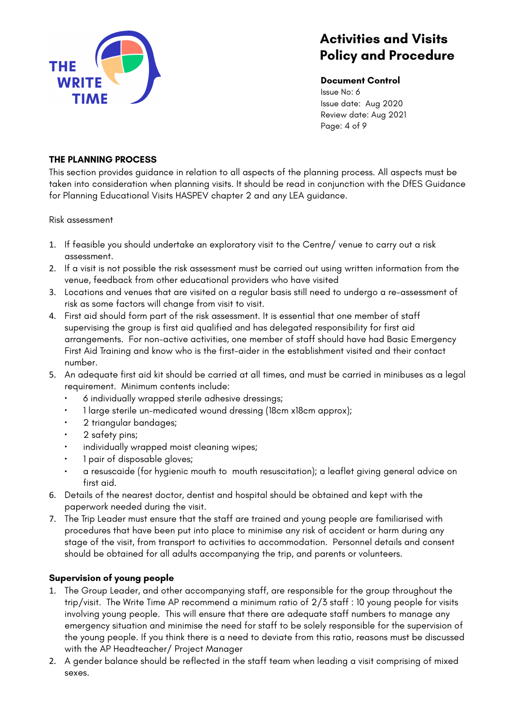

#### **Document Control**

Issue No: 6 Issue date: Aug 2020 Review date: Aug 2021 Page: 4 of 9

## **THE PLANNING PROCESS**

This section provides guidance in relation to all aspects of the planning process. All aspects must be taken into consideration when planning visits. It should be read in conjunction with the DfES Guidance for Planning Educational Visits HASPEV chapter 2 and any LEA guidance.

Risk assessment

- 1. If feasible you should undertake an exploratory visit to the Centre/ venue to carry out a risk assessment.
- 2. If a visit is not possible the risk assessment must be carried out using written information from the venue, feedback from other educational providers who have visited
- 3. Locations and venues that are visited on a regular basis still need to undergo a re-assessment of risk as some factors will change from visit to visit.
- 4. First aid should form part of the risk assessment. It is essential that one member of staff supervising the group is first aid qualified and has delegated responsibility for first aid arrangements. For non-active activities, one member of staff should have had Basic Emergency First Aid Training and know who is the first-aider in the establishment visited and their contact number.
- 5. An adequate first aid kit should be carried at all times, and must be carried in minibuses as a legal requirement. Minimum contents include:
	- 6 individually wrapped sterile adhesive dressings;
	- 1 large sterile un-medicated wound dressing (18cm x18cm approx);
	- 2 triangular bandages;
	- 2 safety pins;
	- individually wrapped moist cleaning wipes;
	- 1 pair of disposable gloves;
	- a resuscaide (for hygienic mouth to mouth resuscitation); a leaflet giving general advice on first aid.
- 6. Details of the nearest doctor, dentist and hospital should be obtained and kept with the paperwork needed during the visit.
- 7. The Trip Leader must ensure that the staff are trained and young people are familiarised with procedures that have been put into place to minimise any risk of accident or harm during any stage of the visit, from transport to activities to accommodation. Personnel details and consent should be obtained for all adults accompanying the trip, and parents or volunteers.

## **Supervision of young people**

- 1. The Group Leader, and other accompanying staff, are responsible for the group throughout the trip/visit. The Write Time AP recommend a minimum ratio of 2/3 staff : 10 young people for visits involving young people. This will ensure that there are adequate staff numbers to manage any emergency situation and minimise the need for staff to be solely responsible for the supervision of the young people. If you think there is a need to deviate from this ratio, reasons must be discussed with the AP Headteacher/ Project Manager
- 2. A gender balance should be reflected in the staff team when leading a visit comprising of mixed sexes.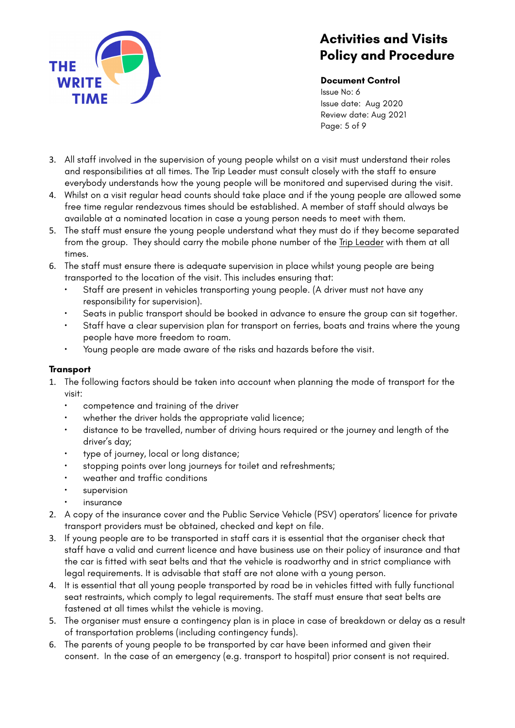

### **Document Control**

Issue No: 6 Issue date: Aug 2020 Review date: Aug 2021 Page: 5 of 9

- 3. All staff involved in the supervision of young people whilst on a visit must understand their roles and responsibilities at all times. The Trip Leader must consult closely with the staff to ensure everybody understands how the young people will be monitored and supervised during the visit.
- 4. Whilst on a visit regular head counts should take place and if the young people are allowed some free time regular rendezvous times should be established. A member of staff should always be available at a nominated location in case a young person needs to meet with them.
- 5. The staff must ensure the young people understand what they must do if they become separated from the group. They should carry the mobile phone number of the Trip Leader with them at all times.
- 6. The staff must ensure there is adequate supervision in place whilst young people are being transported to the location of the visit. This includes ensuring that:
	- Staff are present in vehicles transporting young people. (A driver must not have any responsibility for supervision).
	- Seats in public transport should be booked in advance to ensure the group can sit together.
	- Staff have a clear supervision plan for transport on ferries, boats and trains where the young people have more freedom to roam.
	- Young people are made aware of the risks and hazards before the visit.

## **Transport**

- 1. The following factors should be taken into account when planning the mode of transport for the visit:
	- competence and training of the driver
	- whether the driver holds the appropriate valid licence;
	- distance to be travelled, number of driving hours required or the journey and length of the driver's day;
	- type of journey, local or long distance;
	- stopping points over long journeys for toilet and refreshments;
	- weather and traffic conditions
	- supervision
	- **insurance**
- 2. A copy of the insurance cover and the Public Service Vehicle (PSV) operators' licence for private transport providers must be obtained, checked and kept on file.
- 3. If young people are to be transported in staff cars it is essential that the organiser check that staff have a valid and current licence and have business use on their policy of insurance and that the car is fitted with seat belts and that the vehicle is roadworthy and in strict compliance with legal requirements. It is advisable that staff are not alone with a young person.
- 4. It is essential that all young people transported by road be in vehicles fitted with fully functional seat restraints, which comply to legal requirements. The staff must ensure that seat belts are fastened at all times whilst the vehicle is moving.
- 5. The organiser must ensure a contingency plan is in place in case of breakdown or delay as a result of transportation problems (including contingency funds).
- 6. The parents of young people to be transported by car have been informed and given their consent. In the case of an emergency (e.g. transport to hospital) prior consent is not required.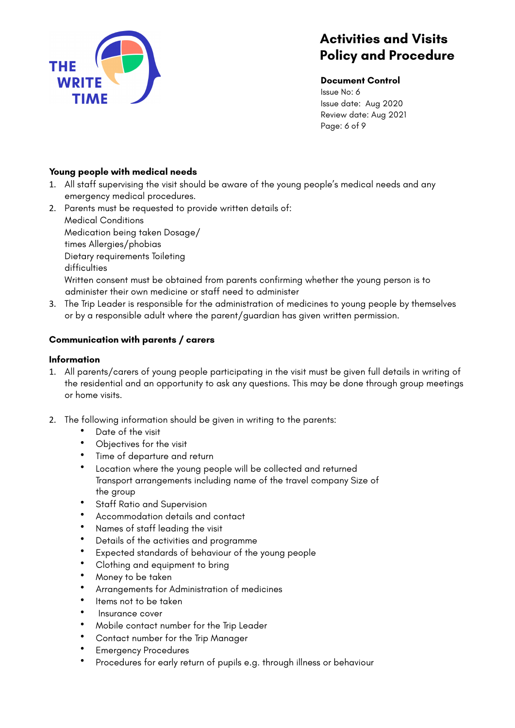

#### **Document Control**

Issue No: 6 Issue date: Aug 2020 Review date: Aug 2021 Page: 6 of 9

## **Young people with medical needs**

- 1. All staff supervising the visit should be aware of the young people's medical needs and any emergency medical procedures.
- 2. Parents must be requested to provide written details of: Medical Conditions Medication being taken Dosage/ times Allergies/phobias Dietary requirements Toileting difficulties Written consent must be obtained from parents confirming whether the young person is to administer their own medicine or staff need to administer
- 3. The Trip Leader is responsible for the administration of medicines to young people by themselves or by a responsible adult where the parent/guardian has given written permission.

## **Communication with parents / carers**

## **Information**

- 1. All parents/carers of young people participating in the visit must be given full details in writing of the residential and an opportunity to ask any questions. This may be done through group meetings or home visits.
- 2. The following information should be given in writing to the parents:
	- Date of the visit
	- Objectives for the visit
	- Time of departure and return
	- Location where the young people will be collected and returned Transport arrangements including name of the travel company Size of the group
	- Staff Ratio and Supervision
	- Accommodation details and contact
	- Names of staff leading the visit
	- Details of the activities and programme
	- Expected standards of behaviour of the young people
	- Clothing and equipment to bring
	- Money to be taken
	- Arrangements for Administration of medicines
	- Items not to be taken
	- Insurance cover
	- Mobile contact number for the Trip Leader
	- Contact number for the Trip Manager
	- Emergency Procedures
	- Procedures for early return of pupils e.g. through illness or behaviour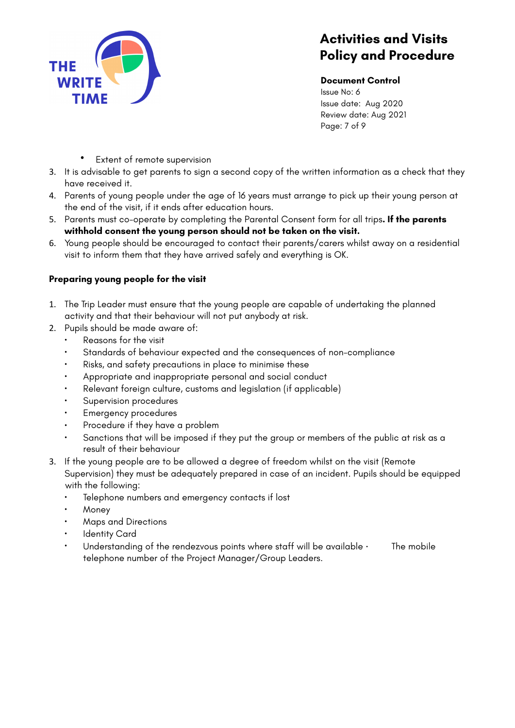

#### **Document Control**

Issue No: 6 Issue date: Aug 2020 Review date: Aug 2021 Page: 7 of 9

- Extent of remote supervision
- 3. It is advisable to get parents to sign a second copy of the written information as a check that they have received it.
- 4. Parents of young people under the age of 16 years must arrange to pick up their young person at the end of the visit, if it ends after education hours.
- 5. Parents must co-operate by completing the Parental Consent form for all trips**. If the parents withhold consent the young person should not be taken on the visit.**
- 6. Young people should be encouraged to contact their parents/carers whilst away on a residential visit to inform them that they have arrived safely and everything is OK.

## **Preparing young people for the visit**

- 1. The Trip Leader must ensure that the young people are capable of undertaking the planned activity and that their behaviour will not put anybody at risk.
- 2. Pupils should be made aware of:
	- Reasons for the visit
	- Standards of behaviour expected and the consequences of non-compliance
	- Risks, and safety precautions in place to minimise these
	- Appropriate and inappropriate personal and social conduct
	- Relevant foreign culture, customs and legislation (if applicable)
	- Supervision procedures
	- Emergency procedures
	- Procedure if they have a problem
	- Sanctions that will be imposed if they put the group or members of the public at risk as a result of their behaviour
- 3. If the young people are to be allowed a degree of freedom whilst on the visit (Remote Supervision) they must be adequately prepared in case of an incident. Pupils should be equipped with the following:
	- Telephone numbers and emergency contacts if lost
	- Money
	- Maps and Directions
	- **Identity Card**
	- Understanding of the rendezvous points where staff will be available  $\cdot$  The mobile telephone number of the Project Manager/Group Leaders.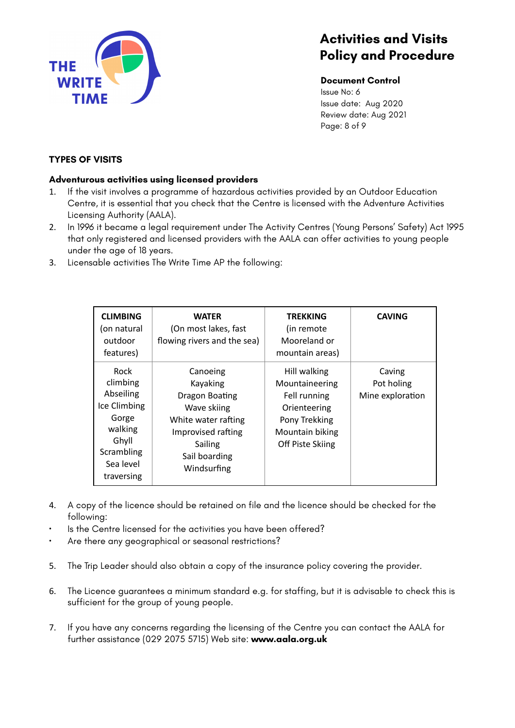

#### **Document Control**

Issue No: 6 Issue date: Aug 2020 Review date: Aug 2021 Page: 8 of 9

## **TYPES OF VISITS**

### **Adventurous activities using licensed providers**

- 1. If the visit involves a programme of hazardous activities provided by an Outdoor Education Centre, it is essential that you check that the Centre is licensed with the Adventure Activities Licensing Authority (AALA).
- 2. In 1996 it became a legal requirement under The Activity Centres (Young Persons' Safety) Act 1995 that only registered and licensed providers with the AALA can offer activities to young people under the age of 18 years.
- 3. Licensable activities The Write Time AP the following:

| <b>CLIMBING</b><br>(on natural<br>outdoor<br>features)                                                                     | <b>WATER</b><br>(On most lakes, fast<br>flowing rivers and the sea)                                                                           | TREKKING<br>(in remote<br>Mooreland or<br>mountain areas)                                                                     | <b>CAVING</b>                            |
|----------------------------------------------------------------------------------------------------------------------------|-----------------------------------------------------------------------------------------------------------------------------------------------|-------------------------------------------------------------------------------------------------------------------------------|------------------------------------------|
| <b>Rock</b><br>climbing<br>Abseiling<br>Ice Climbing<br>Gorge<br>walking<br>Ghyll<br>Scrambling<br>Sea level<br>traversing | Canoeing<br>Kayaking<br>Dragon Boating<br>Wave skiing<br>White water rafting<br>Improvised rafting<br>Sailing<br>Sail boarding<br>Windsurfing | Hill walking<br>Mountaineering<br>Fell running<br>Orienteering<br>Pony Trekking<br>Mountain biking<br><b>Off Piste Skiing</b> | Caving<br>Pot holing<br>Mine exploration |

- 4. A copy of the licence should be retained on file and the licence should be checked for the following:
- Is the Centre licensed for the activities you have been offered?
- Are there any geographical or seasonal restrictions?
- 5. The Trip Leader should also obtain a copy of the insurance policy covering the provider.
- 6. The Licence guarantees a minimum standard e.g. for staffing, but it is advisable to check this is sufficient for the group of young people.
- 7. If you have any concerns regarding the licensing of the Centre you can contact the AALA for further assistance (029 2075 5715) Web site: **www.aala.org.uk**